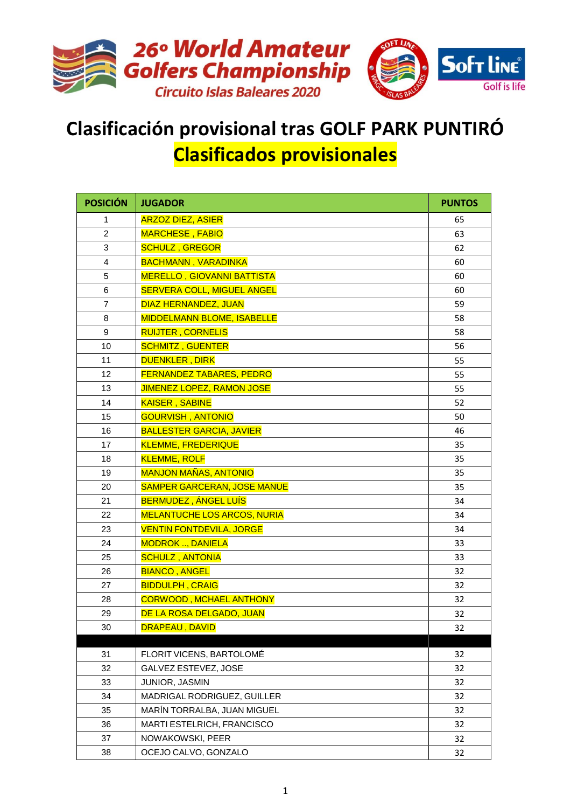

## **Clasificación provisional tras GOLF PARK PUNTIRÓ Clasificados provisionales**

| <b>POSICIÓN</b> | <b>JUGADOR</b>                     | <b>PUNTOS</b> |
|-----------------|------------------------------------|---------------|
| 1               | <b>ARZOZ DIEZ, ASIER</b>           | 65            |
| 2               | <b>MARCHESE, FABIO</b>             | 63            |
| 3               | <b>SCHULZ, GREGOR</b>              | 62            |
| 4               | <b>BACHMANN, VARADINKA</b>         | 60            |
| 5               | <b>MERELLO, GIOVANNI BATTISTA</b>  | 60            |
| 6               | <b>SERVERA COLL, MIGUEL ANGEL</b>  | 60            |
| $\overline{7}$  | DIAZ HERNANDEZ, JUAN               | 59            |
| 8               | <b>MIDDELMANN BLOME, ISABELLE</b>  | 58            |
| 9               | <b>RUIJTER, CORNELIS</b>           | 58            |
| 10              | <b>SCHMITZ, GUENTER</b>            | 56            |
| 11              | <b>DUENKLER, DIRK</b>              | 55            |
| 12              | <b>FERNANDEZ TABARES, PEDRO</b>    | 55            |
| 13              | <b>JIMENEZ LOPEZ, RAMON JOSE</b>   | 55            |
| 14              | <b>KAISER, SABINE</b>              | 52            |
| 15              | <b>GOURVISH, ANTONIO</b>           | 50            |
| 16              | <b>BALLESTER GARCIA, JAVIER</b>    | 46            |
| 17              | <b>KLEMME, FREDERIQUE</b>          | 35            |
| 18              | <b>KLEMME, ROLF</b>                | 35            |
| 19              | <b>MANJON MAÑAS, ANTONIO</b>       | 35            |
| 20              | <b>SAMPER GARCERAN, JOSE MANUE</b> | 35            |
| 21              | <b>BERMUDEZ, ÁNGEL LUÍS</b>        | 34            |
| 22              | <b>MELANTUCHE LOS ARCOS, NURIA</b> | 34            |
| 23              | <b>VENTIN FONTDEVILA, JORGE</b>    | 34            |
| 24              | <b>MODROK , DANIELA</b>            | 33            |
| 25              | <b>SCHULZ, ANTONIA</b>             | 33            |
| 26              | <b>BIANCO, ANGEL</b>               | 32            |
| 27              | <b>BIDDULPH, CRAIG</b>             | 32            |
| 28              | <b>CORWOOD, MCHAEL ANTHONY</b>     | 32            |
| 29              | DE LA ROSA DELGADO, JUAN           | 32            |
| 30              | <b>DRAPEAU, DAVID</b>              | 32            |
| 31              | FLORIT VICENS, BARTOLOMÉ           | 32            |
| 32              | GALVEZ ESTEVEZ, JOSE               | 32            |
| 33              | JUNIOR, JASMIN                     | 32            |
| 34              | MADRIGAL RODRIGUEZ, GUILLER        | 32            |
| 35              | MARÍN TORRALBA, JUAN MIGUEL        | 32            |
| 36              | MARTI ESTELRICH, FRANCISCO         | 32            |
| 37              | NOWAKOWSKI, PEER                   | 32            |
| 38              | OCEJO CALVO, GONZALO               | 32            |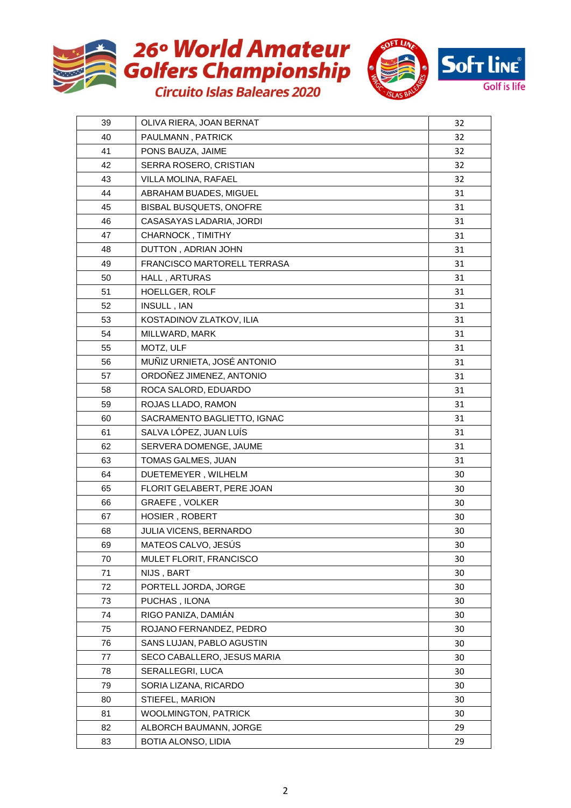





| 39 | OLIVA RIERA, JOAN BERNAT    | 32 |
|----|-----------------------------|----|
| 40 | PAULMANN, PATRICK           | 32 |
| 41 | PONS BAUZA, JAIME           | 32 |
| 42 | SERRA ROSERO, CRISTIAN      | 32 |
| 43 | VILLA MOLINA, RAFAEL        | 32 |
| 44 | ABRAHAM BUADES, MIGUEL      | 31 |
| 45 | BISBAL BUSQUETS, ONOFRE     | 31 |
| 46 | CASASAYAS LADARIA, JORDI    | 31 |
| 47 | CHARNOCK, TIMITHY           | 31 |
| 48 | DUTTON, ADRIAN JOHN         | 31 |
| 49 | FRANCISCO MARTORELL TERRASA | 31 |
| 50 | HALL, ARTURAS               | 31 |
| 51 | HOELLGER, ROLF              | 31 |
| 52 | INSULL, IAN                 | 31 |
| 53 | KOSTADINOV ZLATKOV, ILIA    | 31 |
| 54 | MILLWARD, MARK              | 31 |
| 55 | MOTZ, ULF                   | 31 |
| 56 | MUÑIZ URNIETA, JOSÉ ANTONIO | 31 |
| 57 | ORDOÑEZ JIMENEZ, ANTONIO    | 31 |
| 58 | ROCA SALORD, EDUARDO        | 31 |
| 59 | ROJAS LLADO, RAMON          | 31 |
| 60 | SACRAMENTO BAGLIETTO, IGNAC | 31 |
| 61 | SALVA LÓPEZ, JUAN LUÍS      | 31 |
| 62 | SERVERA DOMENGE, JAUME      | 31 |
| 63 | TOMAS GALMES, JUAN          | 31 |
| 64 | DUETEMEYER, WILHELM         | 30 |
| 65 | FLORIT GELABERT, PERE JOAN  | 30 |
| 66 | <b>GRAEFE, VOLKER</b>       | 30 |
| 67 | HOSIER, ROBERT              | 30 |
| 68 | JULIA VICENS, BERNARDO      | 30 |
| 69 | MATEOS CALVO, JESÚS         | 30 |
| 70 | MULET FLORIT, FRANCISCO     | 30 |
| 71 | NIJS, BART                  | 30 |
| 72 | PORTELL JORDA, JORGE        | 30 |
| 73 | PUCHAS, ILONA               | 30 |
| 74 | RIGO PANIZA, DAMIÁN         | 30 |
| 75 | ROJANO FERNANDEZ, PEDRO     | 30 |
| 76 | SANS LUJAN, PABLO AGUSTIN   | 30 |
| 77 | SECO CABALLERO, JESUS MARIA | 30 |
| 78 | SERALLEGRI, LUCA            | 30 |
| 79 | SORIA LIZANA, RICARDO       | 30 |
| 80 | STIEFEL, MARION             | 30 |
| 81 | WOOLMINGTON, PATRICK        | 30 |
| 82 | ALBORCH BAUMANN, JORGE      | 29 |
| 83 | BOTIA ALONSO, LIDIA         | 29 |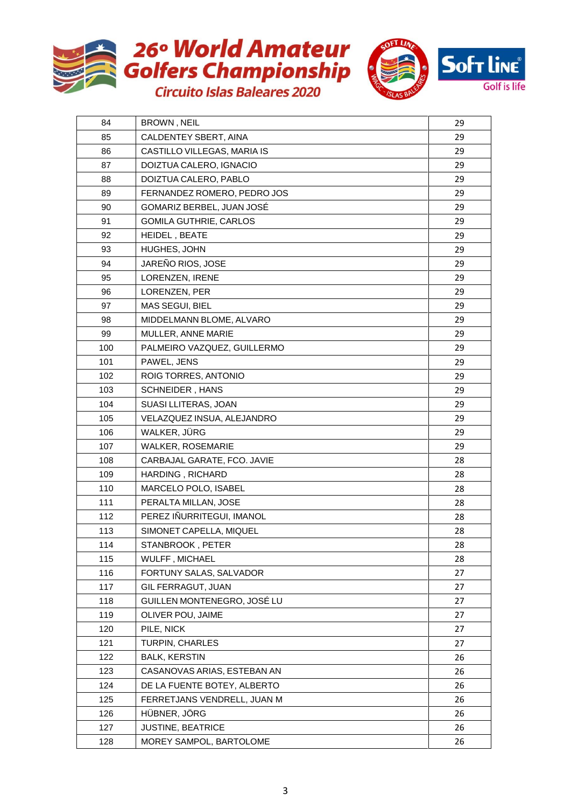



| 84  | <b>BROWN, NEIL</b>            | 29 |
|-----|-------------------------------|----|
| 85  | CALDENTEY SBERT, AINA         | 29 |
| 86  | CASTILLO VILLEGAS, MARIA IS   | 29 |
| 87  | DOIZTUA CALERO, IGNACIO       | 29 |
| 88  | DOIZTUA CALERO, PABLO         | 29 |
| 89  | FERNANDEZ ROMERO, PEDRO JOS   | 29 |
| 90  | GOMARIZ BERBEL, JUAN JOSÉ     | 29 |
| 91  | <b>GOMILA GUTHRIE, CARLOS</b> | 29 |
| 92  | HEIDEL, BEATE                 | 29 |
| 93  | HUGHES, JOHN                  | 29 |
| 94  | JAREÑO RIOS, JOSE             | 29 |
| 95  | LORENZEN, IRENE               | 29 |
| 96  | LORENZEN, PER                 | 29 |
| 97  | MAS SEGUI, BIEL               | 29 |
| 98  | MIDDELMANN BLOME, ALVARO      | 29 |
| 99  | MULLER, ANNE MARIE            | 29 |
| 100 | PALMEIRO VAZQUEZ, GUILLERMO   | 29 |
| 101 | PAWEL, JENS                   | 29 |
| 102 | ROIG TORRES, ANTONIO          | 29 |
| 103 | SCHNEIDER, HANS               | 29 |
| 104 | SUASI LLITERAS, JOAN          | 29 |
| 105 | VELAZQUEZ INSUA, ALEJANDRO    | 29 |
| 106 | WALKER, JÜRG                  | 29 |
| 107 | WALKER, ROSEMARIE             | 29 |
| 108 | CARBAJAL GARATE, FCO. JAVIE   | 28 |
| 109 | HARDING, RICHARD              | 28 |
| 110 | MARCELO POLO, ISABEL          | 28 |
| 111 | PERALTA MILLAN, JOSE          | 28 |
| 112 | PEREZ IÑURRITEGUI, IMANOL     | 28 |
| 113 | SIMONET CAPELLA, MIQUEL       | 28 |
| 114 | STANBROOK, PETER              | 28 |
| 115 | WULFF, MICHAEL                | 28 |
| 116 | FORTUNY SALAS, SALVADOR       | 27 |
| 117 | GIL FERRAGUT, JUAN            | 27 |
| 118 | GUILLEN MONTENEGRO, JOSÉ LU   | 27 |
| 119 | OLIVER POU, JAIME             | 27 |
| 120 | PILE, NICK                    | 27 |
| 121 | <b>TURPIN, CHARLES</b>        | 27 |
| 122 | <b>BALK, KERSTIN</b>          | 26 |
| 123 | CASANOVAS ARIAS, ESTEBAN AN   | 26 |
| 124 | DE LA FUENTE BOTEY, ALBERTO   | 26 |
| 125 | FERRETJANS VENDRELL, JUAN M   | 26 |
| 126 | HÜBNER, JÖRG                  | 26 |
| 127 | JUSTINE, BEATRICE             | 26 |
| 128 | MOREY SAMPOL, BARTOLOME       | 26 |